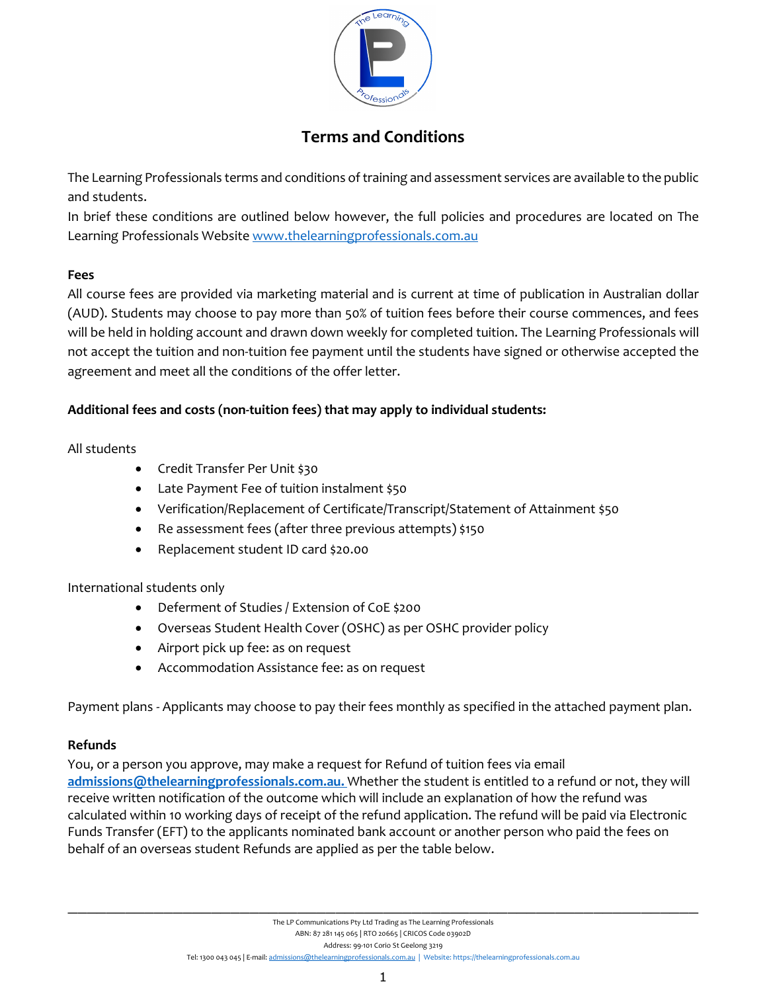

# **Terms and Conditions**

The Learning Professionals terms and conditions of training and assessment services are available to the public and students.

In brief these conditions are outlined below however, the full policies and procedures are located on The Learning Professionals Websit[e www.thelearningprofessionals.com.au](http://www.thelearningprofessionals.com.au/)

#### **Fees**

All course fees are provided via marketing material and is current at time of publication in Australian dollar (AUD). Students may choose to pay more than 50% of tuition fees before their course commences, and fees will be held in holding account and drawn down weekly for completed tuition. The Learning Professionals will not accept the tuition and non-tuition fee payment until the students have signed or otherwise accepted the agreement and meet all the conditions of the offer letter.

## **Additional fees and costs (non-tuition fees) that may apply to individual students:**

#### All students

- Credit Transfer Per Unit \$30
- Late Payment Fee of tuition instalment \$50
- Verification/Replacement of Certificate/Transcript/Statement of Attainment \$50
- Re assessment fees (after three previous attempts) \$150
- Replacement student ID card \$20.00

#### International students only

- Deferment of Studies / Extension of CoE \$200
- Overseas Student Health Cover (OSHC) as per OSHC provider policy
- Airport pick up fee: as on request
- Accommodation Assistance fee: as on request

Payment plans - Applicants may choose to pay their fees monthly as specified in the attached payment plan.

#### **Refunds**

You, or a person you approve, may make a request for Refund of tuition fees via email **[admissions@thelearningprofessionals.com.au.](mailto:admissions@thelearningprofessionals.com.au.)** Whether the student is entitled to a refund or not, they will receive written notification of the outcome which will include an explanation of how the refund was calculated within 10 working days of receipt of the refund application. The refund will be paid via Electronic Funds Transfer (EFT) to the applicants nominated bank account or another person who paid the fees on behalf of an overseas student Refunds are applied as per the table below.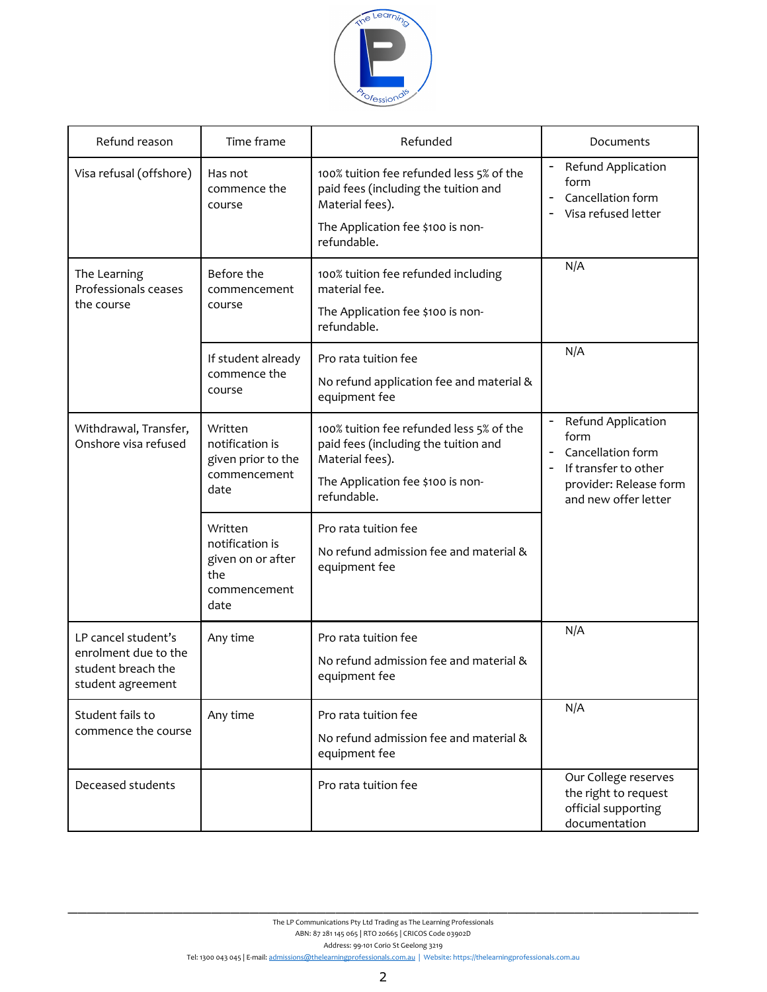

| Refund reason                                                                          | Time frame                                                                     | Refunded                                                                                                                                                | Documents                                                                                                                 |
|----------------------------------------------------------------------------------------|--------------------------------------------------------------------------------|---------------------------------------------------------------------------------------------------------------------------------------------------------|---------------------------------------------------------------------------------------------------------------------------|
| Visa refusal (offshore)                                                                | Has not<br>commence the<br>course                                              | 100% tuition fee refunded less 5% of the<br>paid fees (including the tuition and<br>Material fees).<br>The Application fee \$100 is non-<br>refundable. | Refund Application<br>form<br>Cancellation form<br>Visa refused letter                                                    |
| The Learning<br>Professionals ceases<br>the course                                     | Before the<br>commencement<br>course                                           | 100% tuition fee refunded including<br>material fee.<br>The Application fee \$100 is non-<br>refundable.                                                | N/A                                                                                                                       |
|                                                                                        | If student already<br>commence the<br>course                                   | Pro rata tuition fee<br>No refund application fee and material &<br>equipment fee                                                                       | N/A                                                                                                                       |
| Withdrawal, Transfer,<br>Onshore visa refused                                          | Written<br>notification is<br>given prior to the<br>commencement<br>date       | 100% tuition fee refunded less 5% of the<br>paid fees (including the tuition and<br>Material fees).<br>The Application fee \$100 is non-<br>refundable. | Refund Application<br>form<br>Cancellation form<br>If transfer to other<br>provider: Release form<br>and new offer letter |
|                                                                                        | Written<br>notification is<br>given on or after<br>the<br>commencement<br>date | Pro rata tuition fee<br>No refund admission fee and material &<br>equipment fee                                                                         |                                                                                                                           |
| LP cancel student's<br>enrolment due to the<br>student breach the<br>student agreement | Any time                                                                       | Pro rata tuition fee<br>No refund admission fee and material &<br>equipment fee                                                                         | N/A                                                                                                                       |
| Student fails to<br>commence the course                                                | Any time                                                                       | Pro rata tuition fee<br>No refund admission fee and material &<br>equipment fee                                                                         | N/A                                                                                                                       |
| Deceased students                                                                      |                                                                                | Pro rata tuition fee                                                                                                                                    | Our College reserves<br>the right to request<br>official supporting<br>documentation                                      |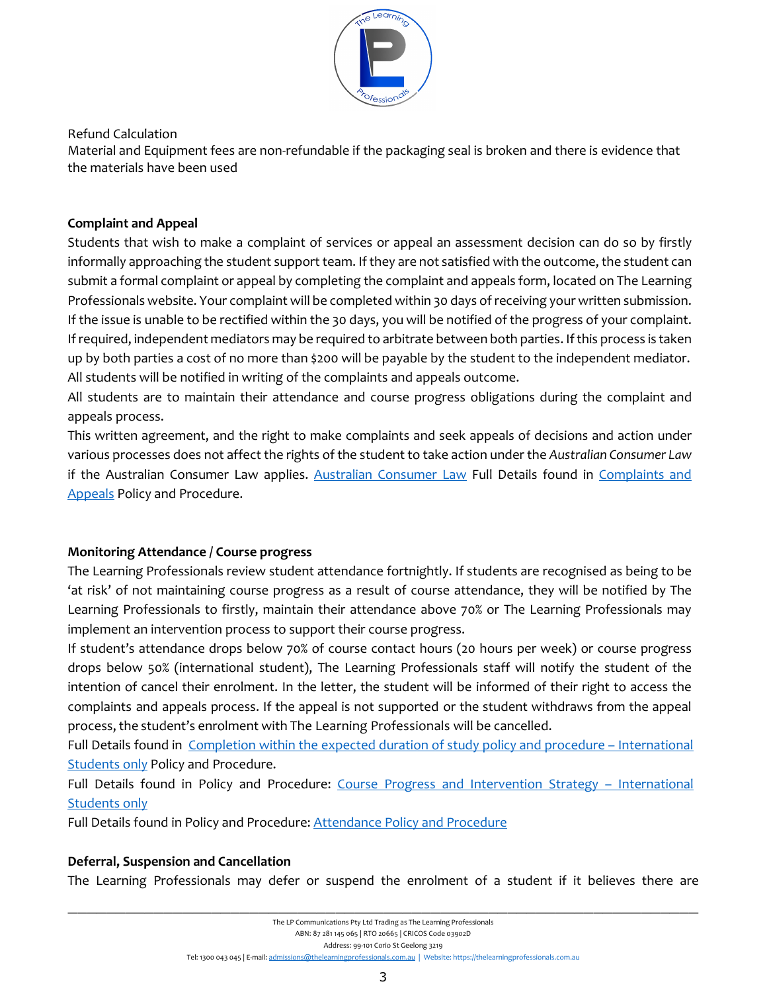

Refund Calculation

Material and Equipment fees are non-refundable if the packaging seal is broken and there is evidence that the materials have been used

#### **Complaint and Appeal**

Students that wish to make a complaint of services or appeal an assessment decision can do so by firstly informally approaching the student support team. If they are not satisfied with the outcome, the student can submit a formal complaint or appeal by completing the complaint and appeals form, located on The Learning Professionals website. Your complaint will be completed within 30 days of receiving your written submission. If the issue is unable to be rectified within the 30 days, you will be notified of the progress of your complaint. If required, independent mediators may be required to arbitrate between both parties. If this process is taken up by both parties a cost of no more than \$200 will be payable by the student to the independent mediator. All students will be notified in writing of the complaints and appeals outcome.

All students are to maintain their attendance and course progress obligations during the complaint and appeals process.

This written agreement, and the right to make complaints and seek appeals of decisions and action under various processes does not affect the rights of the student to take action under the *Australian Consumer Law* if the [Australian Consumer Law](https://consumerlaw.gov.au/) applies. Australian Consumer Law Full Details found in Complaints and Appeals Policy and Procedure.

# **Monitoring Attendance / Course progress**

The Learning Professionals review student attendance fortnightly. If students are recognised as being to be 'at risk' of not maintaining course progress as a result of course attendance, they will be notified by The Learning Professionals to firstly, maintain their attendance above 70% or The Learning Professionals may implement an intervention process to support their course progress.

If student's attendance drops below 70% of course contact hours (20 hours per week) or course progress drops below 50% (international student), The Learning Professionals staff will notify the student of the intention of cancel their enrolment. In the letter, the student will be informed of their right to access the complaints and appeals process. If the appeal is not supported or the student withdraws from the appeal process, the student's enrolment with The Learning Professionals will be cancelled.

Full Details found in Completion within the expected duration of study policy and procedure – International **Students only Policy and Procedure.** 

Full Details found in Policy and Procedure: Course Progress and Intervention Strategy - International Students only

Full Details found in Policy and Procedure: Attendance Policy and Procedure

# **Deferral, Suspension and Cancellation**

The Learning Professionals may defer or suspend the enrolment of a student if it believes there are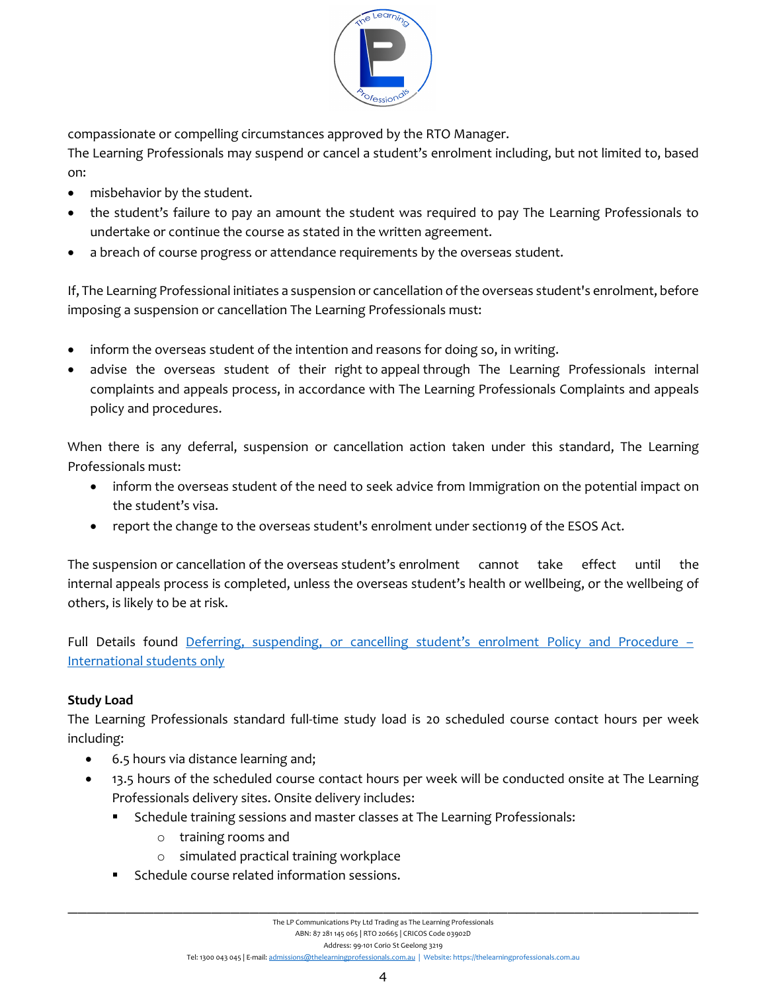

compassionate or compelling circumstances approved by the RTO Manager.

The Learning Professionals may suspend or cancel a student's enrolment including, but not limited to, based on:

- misbehavior by the student.
- the student's failure to pay an amount the student was required to pay The Learning Professionals to undertake or continue the course as stated in the written agreement.
- a breach of course progress or attendance requirements by the overseas student.

If, The Learning Professional initiates a suspension or cancellation of the overseas student's enrolment, before imposing a suspension or cancellation The Learning Professionals must:

- inform the overseas student of the intention and reasons for doing so, in writing.
- advise the overseas student of their right to appeal through The Learning Professionals internal complaints and appeals process, in accordance with The Learning Professionals Complaints and appeals policy and procedures.

When there is any deferral, suspension or cancellation action taken under this standard, The Learning Professionals must:

- inform the overseas student of the need to seek advice from Immigration on the potential impact on the student's visa.
- report the change to the overseas student's enrolment under section19 of the ESOS Act.

The suspension or cancellation of the overseas student's enrolment cannot take effect until the internal appeals process is completed, unless the overseas student's health or wellbeing, or the wellbeing of others, is likely to be at risk.

Full Details found Deferring, suspending, or cancelling student's enrolment Policy and Procedure – International students only

# **Study Load**

The Learning Professionals standard full-time study load is 20 scheduled course contact hours per week including:

- 6.5 hours via distance learning and;
- 13.5 hours of the scheduled course contact hours per week will be conducted onsite at The Learning Professionals delivery sites. Onsite delivery includes:
	- Schedule training sessions and master classes at The Learning Professionals:
		- o training rooms and
		- o simulated practical training workplace
	- Schedule course related information sessions.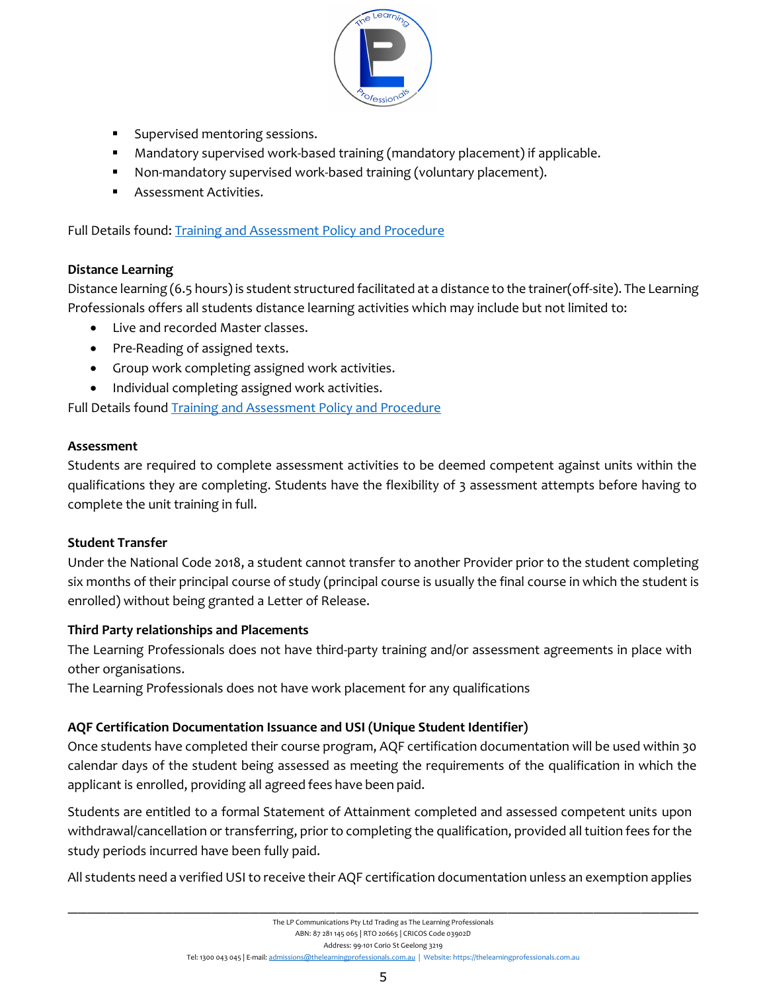

- **Supervised mentoring sessions.**
- Mandatory supervised work-based training (mandatory placement) if applicable.
- Non-mandatory supervised work-based training (voluntary placement).
- Assessment Activities.

Full Details found: Training and Assessment Policy and Procedure

## **Distance Learning**

Distance learning (6.5 hours) is student structured facilitated at a distance to the trainer(off-site). The Learning Professionals offers all students distance learning activities which may include but not limited to:

- Live and recorded Master classes.
- Pre-Reading of assigned texts.
- Group work completing assigned work activities.
- Individual completing assigned work activities.

Full Details found **Training and Assessment Policy and Procedure** 

## **Assessment**

Students are required to complete assessment activities to be deemed competent against units within the qualifications they are completing. Students have the flexibility of 3 assessment attempts before having to complete the unit training in full.

#### **Student Transfer**

Under the National Code 2018, a student cannot transfer to another Provider prior to the student completing six months of their principal course of study (principal course is usually the final course in which the student is enrolled) without being granted a Letter of Release.

# **Third Party relationships and Placements**

The Learning Professionals does not have third-party training and/or assessment agreements in place with other organisations.

The Learning Professionals does not have work placement for any qualifications

# **AQF Certification Documentation Issuance and USI (Unique Student Identifier)**

Once students have completed their course program, AQF certification documentation will be used within 30 calendar days of the student being assessed as meeting the requirements of the qualification in which the applicant is enrolled, providing all agreed fees have been paid.

Students are entitled to a formal Statement of Attainment completed and assessed competent units upon withdrawal/cancellation or transferring, prior to completing the qualification, provided all tuition fees for the study periods incurred have been fully paid.

All students need a verified USI to receive their AQF certification documentation unless an exemption applies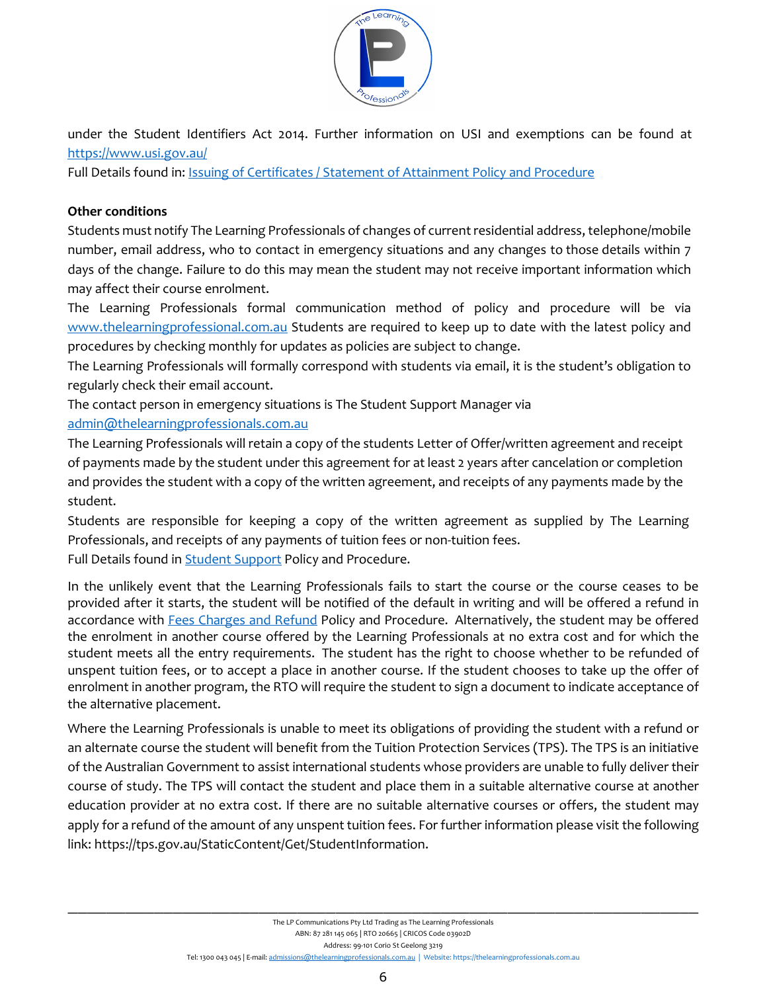

under the Student Identifiers Act 2014. Further information on USI and exemptions can be found at <https://www.usi.gov.au/>

Full Details found in: Issuing of Certificates / Statement of Attainment Policy and Procedure

## **Other conditions**

Students must notify The Learning Professionals of changes of current residential address, telephone/mobile number, email address, who to contact in emergency situations and any changes to those details within 7 days of the change. Failure to do this may mean the student may not receive important information which may affect their course enrolment.

The Learning Professionals formal communication method of policy and procedure will be via [www.thelearningprofessional.com.au](http://www.thelearningprofessional.com.au/) Students are required to keep up to date with the latest policy and procedures by checking monthly for updates as policies are subject to change.

The Learning Professionals will formally correspond with students via email, it is the student's obligation to regularly check their email account.

The contact person in emergency situations is The Student Support Manager via [admin@thelearningprofessionals.com.au](mailto:admin@thelearningprofessionals.com.au)

The Learning Professionals will retain a copy of the students Letter of Offer/written agreement and receipt of payments made by the student under this agreement for at least 2 years after cancelation or completion and provides the student with a copy of the written agreement, and receipts of any payments made by the student.

Students are responsible for keeping a copy of the written agreement as supplied by The Learning Professionals, and receipts of any payments of tuition fees or non-tuition fees. Full Details found in Student Support Policy and Procedure.

In the unlikely event that the Learning Professionals fails to start the course or the course ceases to be provided after it starts, the student will be notified of the default in writing and will be offered a refund in accordance with Fees Charges and Refund Policy and Procedure. Alternatively, the student may be offered the enrolment in another course offered by the Learning Professionals at no extra cost and for which the student meets all the entry requirements. The student has the right to choose whether to be refunded of unspent tuition fees, or to accept a place in another course. If the student chooses to take up the offer of enrolment in another program, the RTO will require the student to sign a document to indicate acceptance of the alternative placement.

Where the Learning Professionals is unable to meet its obligations of providing the student with a refund or an alternate course the student will benefit from the Tuition Protection Services (TPS). The TPS is an initiative of the Australian Government to assist international students whose providers are unable to fully deliver their course of study. The TPS will contact the student and place them in a suitable alternative course at another education provider at no extra cost. If there are no suitable alternative courses or offers, the student may apply for a refund of the amount of any unspent tuition fees. For further information please visit the following link[: https://tps.gov.au/StaticContent/Get/StudentInformation.](https://tps.gov.au/StaticContent/Get/StudentInformation)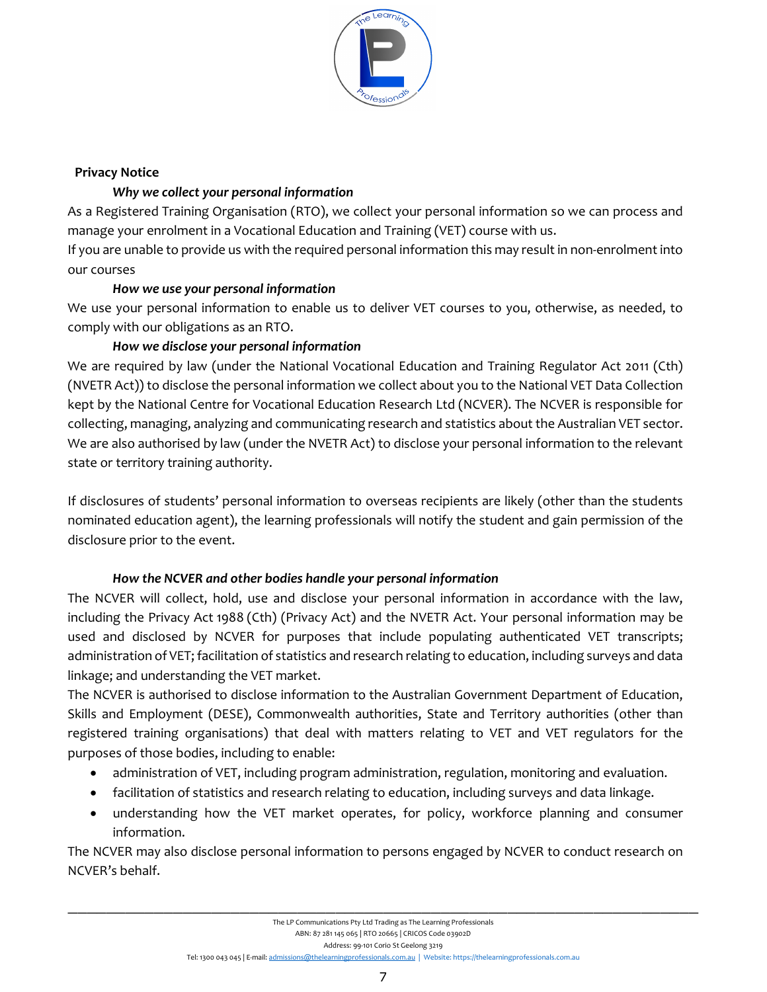

#### **Privacy Notice**

## *Why we collect your personal information*

As a Registered Training Organisation (RTO), we collect your personal information so we can process and manage your enrolment in a Vocational Education and Training (VET) course with us.

If you are unable to provide us with the required personal information this may result in non-enrolment into our courses

## *How we use your personal information*

We use your personal information to enable us to deliver VET courses to you, otherwise, as needed, to comply with our obligations as an RTO.

# *How we disclose your personal information*

We are required by law (under the National Vocational Education and Training Regulator Act 2011 (Cth) (NVETR Act)) to disclose the personal information we collect about you to the National VET Data Collection kept by the National Centre for Vocational Education Research Ltd (NCVER). The NCVER is responsible for collecting, managing, analyzing and communicating research and statistics about the Australian VET sector. We are also authorised by law (under the NVETR Act) to disclose your personal information to the relevant state or territory training authority.

If disclosures of students' personal information to overseas recipients are likely (other than the students nominated education agent), the learning professionals will notify the student and gain permission of the disclosure prior to the event.

# *How the NCVER and other bodies handle your personal information*

The NCVER will collect, hold, use and disclose your personal information in accordance with the law, including the Privacy Act 1988 (Cth) (Privacy Act) and the NVETR Act. Your personal information may be used and disclosed by NCVER for purposes that include populating authenticated VET transcripts; administration of VET; facilitation of statistics and research relating to education, including surveys and data linkage; and understanding the VET market.

The NCVER is authorised to disclose information to the Australian Government Department of Education, Skills and Employment (DESE), Commonwealth authorities, State and Territory authorities (other than registered training organisations) that deal with matters relating to VET and VET regulators for the purposes of those bodies, including to enable:

- administration of VET, including program administration, regulation, monitoring and evaluation.
- facilitation of statistics and research relating to education, including surveys and data linkage.
- understanding how the VET market operates, for policy, workforce planning and consumer information.

The NCVER may also disclose personal information to persons engaged by NCVER to conduct research on NCVER's behalf.